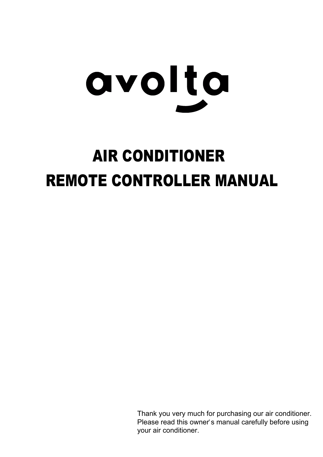

# AIR CONDITIONER REMOTE CONTROLLER MANUAL

Thank you very much for purchasing our air conditioner. Please read this owner's manual carefully before using your air conditioner.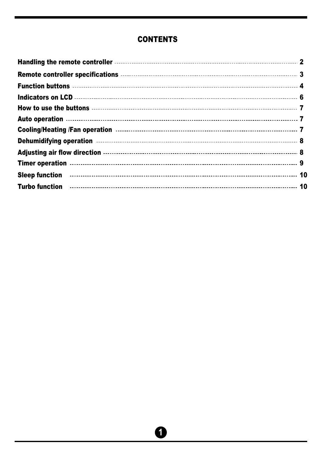#### **CONTENTS**

| Sleep function <b>contracts</b> and the contract of the contract of the contract of the contract of the contract of the                                                                                                            |  |
|------------------------------------------------------------------------------------------------------------------------------------------------------------------------------------------------------------------------------------|--|
| Turbo function <b>construents</b> and the contract of the contract of the contract of the contract of the contract of the contract of the contract of the contract of the contract of the contract of the contract of the contract |  |
|                                                                                                                                                                                                                                    |  |

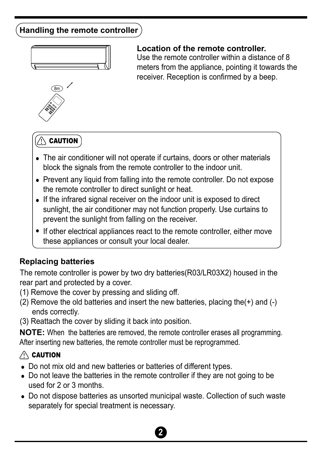# **Handling the remote controller**



#### **Location of the remote controller.**

Use the remote controller within a distance of 8 meters from the appliance, pointing it towards the receiver. Reception is confirmed by a beep.



### $\triangle$  caution

- The air conditioner will not operate if curtains, doors or other materials block the signals from the remote controller to the indoor unit.
- Prevent any liquid from falling into the remote controller. Do not expose the remote controller to direct sunlight or heat.
- If the infrared signal receiver on the indoor unit is exposed to direct sunlight, the air conditioner may not function properly. Use curtains to prevent the sunlight from falling on the receiver.
- If other electrical appliances react to the remote controller, either move these appliances or consult your local dealer.

#### **Replacing batteries**

The remote controller is power by two dry batteries(R03/LR03X2) housed in the rear part and protected by a cover.

- (1) Remove the cover by pressing and sliding off.
- (2) Remove the old batteries and insert the new batteries, placing the(+) and (-) ends correctly.
- (3) Reattach the cover by sliding it back into position.

**NOTE:** When the batteries are removed, the remote controller erases all programming. After inserting new batteries, the remote controller must be reprogrammed.

#### $\triangle$  Caution

- Do not mix old and new batteries or batteries of different types.
- Do not leave the batteries in the remote controller if they are not going to be used for 2 or 3 months.
- Do not dispose batteries as unsorted municipal waste. Collection of such waste separately for special treatment is necessary.

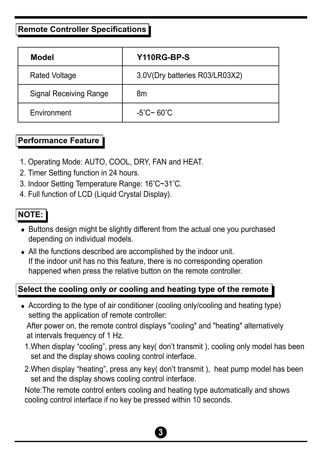#### **Remote Controller Specifications**

| <b>Model</b>                  | Y110RG-BP-S                     |
|-------------------------------|---------------------------------|
| <b>Rated Voltage</b>          | 3.0V(Dry batteries R03/LR03X2)  |
| <b>Signal Receiving Range</b> | 8m                              |
| Environment                   | $-5^{\circ}$ C~ 60 $^{\circ}$ C |

#### **Performance Feature**

- 1. Operating Mode: AUTO, COOL, DRY, FAN and HEAT.
- 2. Timer Setting function in 24 hours.
- 3. Indoor Setting Temperature Range: 16°C~31°C.
- 4. Full function of LCD (Liquid Crystal Display).

#### **NOTE:**

- Buttons design might be slightly different from the actual one you purchased depending on individual models.
- All the functions described are accomplished by the indoor unit. If the indoor unit has no this feature, there is no corresponding operation happened when press the relative button on the remote controller.

#### **Select the cooling only or cooling and heating type of the remote**

According to the type of air conditioner (cooling only/cooling and heating type) setting the application of remote controller:

 After power on, the remote control displays "cooling" and "heating" alternatively at intervals frequency of 1 Hz.

- 1.When display "cooling", press any key( don't transmit ), cooling only model has been set and the display shows cooling control interface.
- 2.When display "heating", press any key( don't transmit ), heat pump model has been set and the display shows cooling control interface.

 Note:The remote control enters cooling and heating type automatically and shows cooling control interface if no key be pressed within 10 seconds.

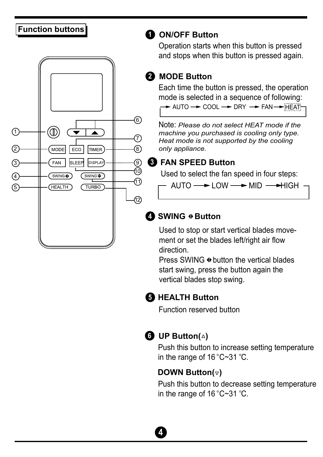

# **1 Function buttons ON/OFF Button**

Operation starts when this button is pressed and stops when this button is pressed again.

#### **2 MODE Button**

Each time the button is pressed, the operation mode is selected in a sequence of following: AUTO COOL DRY FAN HEAT

Note: *Please do not select HEAT mode if the machine you purchased is cooling only type. Heat mode is not supported by the cooling only appliance.*

#### **3 FAN SPEED Button**

Used to select the fan speed in four steps:

 $-$  AUTO  $\longrightarrow$  LOW  $\longrightarrow$  MID  $\longrightarrow$  HIGH

#### **4** SWING  $\triangle$  Button

Used to stop or start vertical blades movement or set the blades left/right air flow direction.

Press SWING  $\oplus$  button the vertical blades start swing, press the button again the vertical blades stop swing.

#### **5 HEALTH Button**

Function reserved button



#### **6 UP Button(4)**

Push this button to increase setting temperature in the range of  $16^{\circ}$ C $-31^{\circ}$ C.

#### **DOWN Button(** $\triangledown$ **)**

Push this button to decrease setting temperature in the range of  $16^{\circ}$ C $-31^{\circ}$ C.

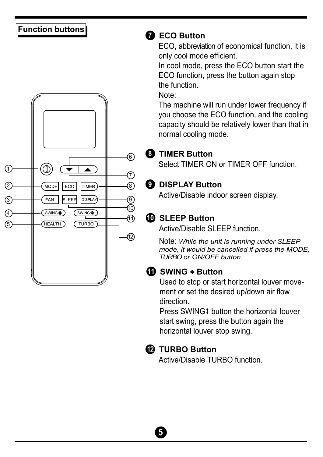### **Function buttons**



#### **7 ECO Button**

ECO, abbreviation of economical function, it is only cool mode efficient.

In cool mode, press the ECO button start the ECO function, press the button again stop the function.

Note:

The machine will run under lower frequency if you choose the ECO function, and the cooling capacity should be relatively lower than that in normal cooling mode.

#### **8 TIMER Button**

Select TIMER ON or TIMER OFF function.

#### **9 DISPLAY Button**

Active/Disable indoor screen display.

# **10 SLEEP Button**

Active/Disable SLEEP function.

Note: *While the unit is running under SLEEP mode, it would be cancelled if press the MODE, TURBO or ON/OFF button.*

#### **10** SWING  $\div$  Button

Used to stop or start horizontal louver movement or set the desired up/down air flow direction.

Press SWING: button the horizontal louver start swing, press the button again the horizontal louver stop swing.

#### **12 TURBO Button**

Active/Disable TURBO function.

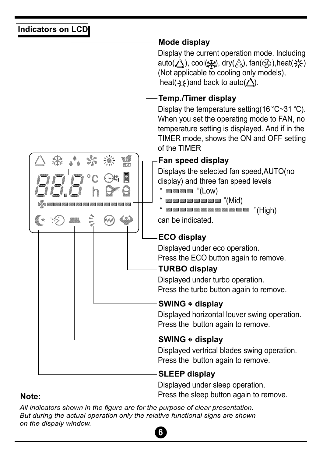#### **Indicators on LCD**



**Note:**

Displayed under sleep operation. Press the sleep button again to remove.

*All indicators shown in the figure are for the purpose of clear presentation. But during the actual operation only the relative functional signs are shown on the dispaly window.*

# **6**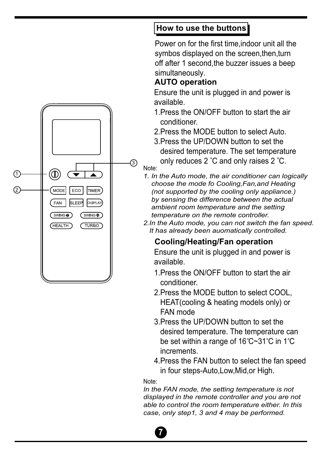# (3)  $^{\rm (0)}$  $\left( \mathrm{1}\right)$ 2 MODE ECO **TIMER** FAN SLEEP **DISPLAY** SWING<sup>+</sup> SWING◆ HEALTH **TURBO**

### **How to use the buttons**

Power on for the first time,indoor unit all the symbos displayed on the screen, then, turn off after 1 second,the buzzer issues a beep simultaneously.

#### **AUTO operation**

Ensure the unit is plugged in and power is available.

- 1.Press the ON/OFF button to start the air conditioner.
- 2.Press the MODE button to select Auto.
- 3.Press the UP/DOWN button to set the desired temperature. The set temperature only reduces  $2^{\degree}C$  and only raises  $2^{\degree}C$ .
- Note:
- *1. In the Auto mode, the air conditioner can logically choose the mode fo Cooling,Fan,and Heating (not supported by the cooling only appliance.) by sensing the difference between the actual ambient room temperature and the setting temperature on the remote controller.*
- *2.In the Auto mode, you can not switch the fan speed. It has already been auomatically controlled.*

### **Cooling/Heating/Fan operation**

Ensure the unit is plugged in and power is available.

- 1.Press the ON/OFF button to start the air conditioner.
- 2.Press the MODE button to select COOL, HEAT(cooling & heating models only) or FAN mode
- 3.Press the UP/DOWN button to set the desired temperature. The temperature can be set within a range of  $16^{\circ}$ C $\sim$ 31 $^{\circ}$ C in 1 $^{\circ}$ C increments.
- 4.Press the FAN button to select the fan speed in four steps-Auto,Low,Mid,or High.

#### Note:

**7**

*In the FAN mode, the setting temperature is not displayed in the remote controller and you are not able to control the room temperature either. In this case, only step1, 3 and 4 may be performed.*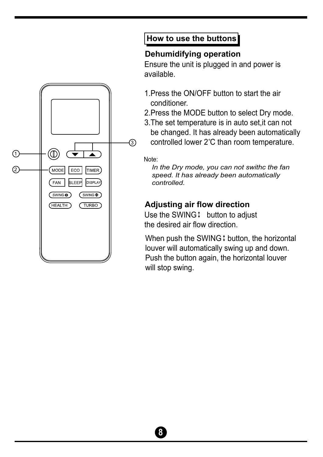

# **How to use the buttons**

#### **Dehumidifying operation**

Ensure the unit is plugged in and power is available.

- 1.Press the ON/OFF button to start the air conditioner.
- 2.Press the MODE button to select Dry mode.
- 3.The set temperature is in auto set,it can not be changed. It has already been automatically controlled lower 2°C than room temperature.

Note:

 *In the Dry mode, you can not swithc the fan speed. It has already been automatically controlled.*

### **Adjusting air flow direction**

Use the SWING  $\ddagger$  button to adjust the desired air flow direction.

When push the SWING  $\ddagger$  button, the horizontal louver will automatically swing up and down. Push the button again, the horizontal louver will stop swing.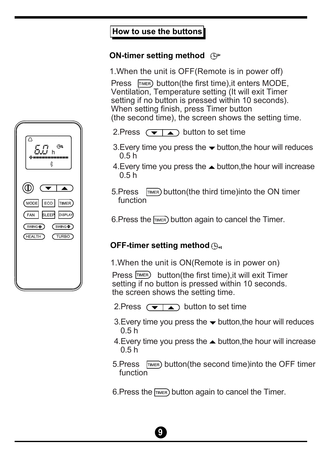#### **How to use the buttons**

#### **ON-timer setting method**

1.When the unit is OFF(Remote is in power off)

Press  $\sqrt{T_{\text{IMER}}}$  button(the first time), it enters MODE, Ventilation, Temperature setting (It will exit Timer setting if no button is pressed within 10 seconds). When setting finish, press Timer button (the second time), the screen shows the setting time.

- 2. Press  $\overline{(\bullet | \bullet)}$  button to set time
- 3. Every time you press the  $\blacktriangledown$  button, the hour will reduces 0.5 h
- 4. Every time you press the  $\triangle$  button, the hour will increase 0.5 h
- 5. Press  $\boxed{\text{Time}}$  button(the third time) into the ON timer function
- 6. Press the  $F_{\text{IMER}}$  button again to cancel the Timer.

#### **OFF-timer setting method**

1.When the unit is ON(Remote is in power on)

Press TIMER) button(the first time), it will exit Timer setting if no button is pressed within 10 seconds. the screen shows the setting time.

- 2. Press  $\left(\frac{1}{2}\right)$  button to set time
- 3. Every time you press the  $\rightarrow$  button, the hour will reduces  $0.5 h$
- 4. Every time you press the  $\triangle$  button, the hour will increase  $0.5 h$
- 5. Press  $\sqrt{T_{\text{IMER}}}$  button(the second time) into the OFF timer function

6. Press the  $F_{\text{IMER}}$  button again to cancel the Timer.



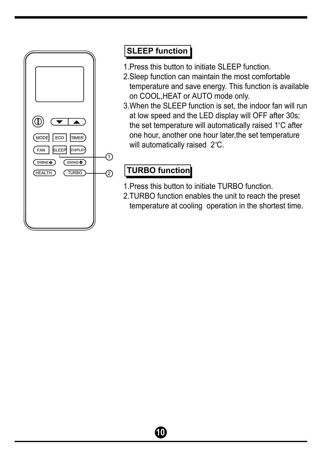

#### **SLEEP function**

- 1.Press this button to initiate SLEEP function.
- 2.Sleep function can maintain the most comfortable temperature and save energy. This function is available on COOL,HEAT or AUTO mode only.
- 3.When the SLEEP function is set, the indoor fan will run at low speed and the LED display will OFF after 30s; the set temperature will automatically raised 1°C after one hour, another one hour later,the set temperature will automatically raised 2°C.

# **TURBO function**

- 1.Press this button to initiate TURBO function.
- 2.TURBO function enables the unit to reach the preset temperature at cooling operation in the shortest time.